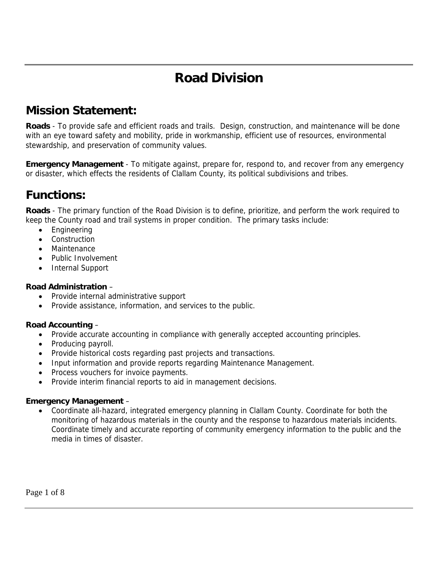# **Road Division**

# **Mission Statement:**

**Roads** - To provide safe and efficient roads and trails. Design, construction, and maintenance will be done with an eye toward safety and mobility, pride in workmanship, efficient use of resources, environmental stewardship, and preservation of community values.

**Emergency Management** - To mitigate against, prepare for, respond to, and recover from any emergency or disaster, which effects the residents of Clallam County, its political subdivisions and tribes.

### **Functions:**

**Roads** - The primary function of the Road Division is to define, prioritize, and perform the work required to keep the County road and trail systems in proper condition. The primary tasks include:

- Engineering
- **Construction**
- Maintenance
- Public Involvement
- Internal Support

#### **Road Administration** –

- Provide internal administrative support
- Provide assistance, information, and services to the public.

#### **Road Accounting** –

- Provide accurate accounting in compliance with generally accepted accounting principles.
- Producing payroll.
- Provide historical costs regarding past projects and transactions.
- Input information and provide reports regarding Maintenance Management.
- Process vouchers for invoice payments.
- Provide interim financial reports to aid in management decisions.

#### **Emergency Management** –

• Coordinate all-hazard, integrated emergency planning in Clallam County. Coordinate for both the monitoring of hazardous materials in the county and the response to hazardous materials incidents. Coordinate timely and accurate reporting of community emergency information to the public and the media in times of disaster.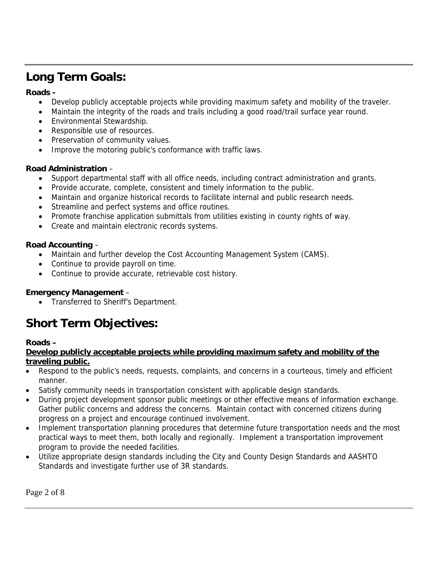# **Long Term Goals:**

#### **Roads -**

- Develop publicly acceptable projects while providing maximum safety and mobility of the traveler.
- Maintain the integrity of the roads and trails including a good road/trail surface year round.
- Environmental Stewardship.
- Responsible use of resources.
- Preservation of community values.
- Improve the motoring public's conformance with traffic laws.

#### **Road Administration** –

- Support departmental staff with all office needs, including contract administration and grants.
- Provide accurate, complete, consistent and timely information to the public.
- Maintain and organize historical records to facilitate internal and public research needs.
- Streamline and perfect systems and office routines.
- Promote franchise application submittals from utilities existing in county rights of way.
- Create and maintain electronic records systems.

#### **Road Accounting** –

- Maintain and further develop the Cost Accounting Management System (CAMS).
- Continue to provide payroll on time.
- Continue to provide accurate, retrievable cost history.

#### **Emergency Management** –

• Transferred to Sheriff's Department.

# **Short Term Objectives:**

#### **Roads –**

**Develop publicly acceptable projects while providing maximum safety and mobility of the traveling public.**

- Respond to the public's needs, requests, complaints, and concerns in a courteous, timely and efficient manner.
- Satisfy community needs in transportation consistent with applicable design standards.
- During project development sponsor public meetings or other effective means of information exchange. Gather public concerns and address the concerns. Maintain contact with concerned citizens during progress on a project and encourage continued involvement.
- Implement transportation planning procedures that determine future transportation needs and the most practical ways to meet them, both locally and regionally. Implement a transportation improvement program to provide the needed facilities.
- Utilize appropriate design standards including the City and County Design Standards and AASHTO Standards and investigate further use of 3R standards.

Page 2 of 8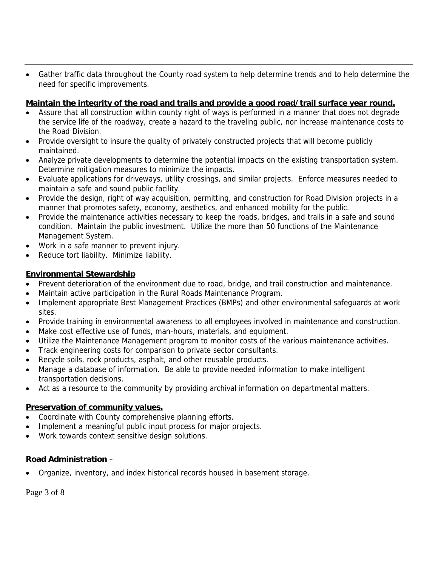• Gather traffic data throughout the County road system to help determine trends and to help determine the need for specific improvements.

#### **Maintain the integrity of the road and trails and provide a good road/trail surface year round.**

- Assure that all construction within county right of ways is performed in a manner that does not degrade the service life of the roadway, create a hazard to the traveling public, nor increase maintenance costs to the Road Division.
- Provide oversight to insure the quality of privately constructed projects that will become publicly maintained.
- Analyze private developments to determine the potential impacts on the existing transportation system. Determine mitigation measures to minimize the impacts.
- Evaluate applications for driveways, utility crossings, and similar projects. Enforce measures needed to maintain a safe and sound public facility.
- Provide the design, right of way acquisition, permitting, and construction for Road Division projects in a manner that promotes safety, economy, aesthetics, and enhanced mobility for the public.
- Provide the maintenance activities necessary to keep the roads, bridges, and trails in a safe and sound condition. Maintain the public investment. Utilize the more than 50 functions of the Maintenance Management System.
- Work in a safe manner to prevent injury.
- Reduce tort liability. Minimize liability.

#### **Environmental Stewardship**

- Prevent deterioration of the environment due to road, bridge, and trail construction and maintenance.
- Maintain active participation in the Rural Roads Maintenance Program.
- Implement appropriate Best Management Practices (BMPs) and other environmental safeguards at work sites.
- Provide training in environmental awareness to all employees involved in maintenance and construction.
- Make cost effective use of funds, man-hours, materials, and equipment.
- Utilize the Maintenance Management program to monitor costs of the various maintenance activities.
- Track engineering costs for comparison to private sector consultants.
- Recycle soils, rock products, asphalt, and other reusable products.
- Manage a database of information. Be able to provide needed information to make intelligent transportation decisions.
- Act as a resource to the community by providing archival information on departmental matters.

#### **Preservation of community values.**

- Coordinate with County comprehensive planning efforts.
- Implement a meaningful public input process for major projects.
- Work towards context sensitive design solutions.

#### **Road Administration** –

• Organize, inventory, and index historical records housed in basement storage.

Page 3 of 8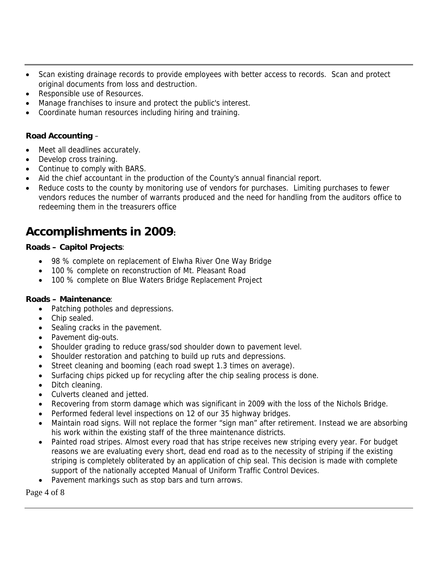- Scan existing drainage records to provide employees with better access to records. Scan and protect original documents from loss and destruction.
- Responsible use of Resources.
- Manage franchises to insure and protect the public's interest.
- Coordinate human resources including hiring and training.

#### **Road Accounting** –

- Meet all deadlines accurately.
- Develop cross training.
- Continue to comply with BARS.
- Aid the chief accountant in the production of the County's annual financial report.
- Reduce costs to the county by monitoring use of vendors for purchases. Limiting purchases to fewer vendors reduces the number of warrants produced and the need for handling from the auditors office to redeeming them in the treasurers office

# **Accomplishments in 2009:**

#### **Roads – Capitol Projects**:

- 98 % complete on replacement of Elwha River One Way Bridge
- 100 % complete on reconstruction of Mt. Pleasant Road
- 100 % complete on Blue Waters Bridge Replacement Project

#### **Roads – Maintenance**:

- Patching potholes and depressions.
- Chip sealed.
- Sealing cracks in the pavement.
- Pavement dig-outs.
- Shoulder grading to reduce grass/sod shoulder down to pavement level.
- Shoulder restoration and patching to build up ruts and depressions.
- Street cleaning and booming (each road swept 1.3 times on average).
- Surfacing chips picked up for recycling after the chip sealing process is done.
- Ditch cleaning.
- Culverts cleaned and jetted.
- Recovering from storm damage which was significant in 2009 with the loss of the Nichols Bridge.
- Performed federal level inspections on 12 of our 35 highway bridges.
- Maintain road signs. Will not replace the former "sign man" after retirement. Instead we are absorbing his work within the existing staff of the three maintenance districts.
- Painted road stripes. Almost every road that has stripe receives new striping every year. For budget reasons we are evaluating every short, dead end road as to the necessity of striping if the existing striping is completely obliterated by an application of chip seal. This decision is made with complete support of the nationally accepted Manual of Uniform Traffic Control Devices.
- Pavement markings such as stop bars and turn arrows.

Page 4 of 8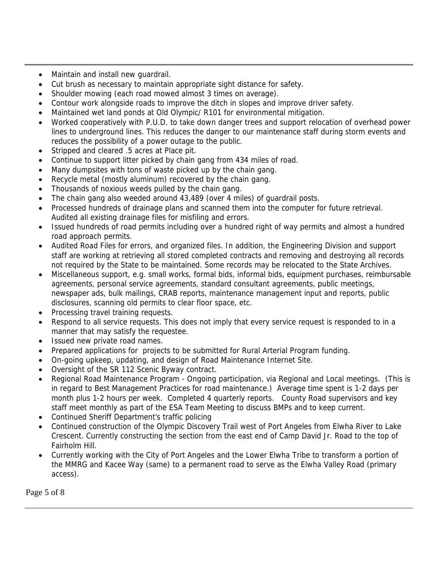- Maintain and install new guardrail.
- Cut brush as necessary to maintain appropriate sight distance for safety.
- Shoulder mowing (each road mowed almost 3 times on average).
- Contour work alongside roads to improve the ditch in slopes and improve driver safety.
- Maintained wet land ponds at Old Olympic/ R101 for environmental mitigation.
- Worked cooperatively with P.U.D. to take down danger trees and support relocation of overhead power lines to underground lines. This reduces the danger to our maintenance staff during storm events and reduces the possibility of a power outage to the public.
- Stripped and cleared .5 acres at Place pit.
- Continue to support litter picked by chain gang from 434 miles of road.
- Many dumpsites with tons of waste picked up by the chain gang.
- Recycle metal (mostly aluminum) recovered by the chain gang.
- Thousands of noxious weeds pulled by the chain gang.
- The chain gang also weeded around 43,489 (over 4 miles) of guardrail posts.
- Processed hundreds of drainage plans and scanned them into the computer for future retrieval. Audited all existing drainage files for misfiling and errors.
- Issued hundreds of road permits including over a hundred right of way permits and almost a hundred road approach permits.
- Audited Road Files for errors, and organized files. In addition, the Engineering Division and support staff are working at retrieving all stored completed contracts and removing and destroying all records not required by the State to be maintained. Some records may be relocated to the State Archives.
- Miscellaneous support, e.g. small works, formal bids, informal bids, equipment purchases, reimbursable agreements, personal service agreements, standard consultant agreements, public meetings, newspaper ads, bulk mailings, CRAB reports, maintenance management input and reports, public disclosures, scanning old permits to clear floor space, etc.
- Processing travel training requests.
- Respond to all service requests. This does not imply that every service request is responded to in a manner that may satisfy the requestee.
- Issued new private road names.
- Prepared applications for projects to be submitted for Rural Arterial Program funding.
- On-going upkeep, updating, and design of Road Maintenance Internet Site.
- Oversight of the SR 112 Scenic Byway contract.
- Regional Road Maintenance Program Ongoing participation, via Regional and Local meetings. (This is in regard to Best Management Practices for road maintenance.) Average time spent is 1-2 days per month plus 1-2 hours per week. Completed 4 quarterly reports. County Road supervisors and key staff meet monthly as part of the ESA Team Meeting to discuss BMPs and to keep current.
- Continued Sheriff Department's traffic policing
- Continued construction of the Olympic Discovery Trail west of Port Angeles from Elwha River to Lake Crescent. Currently constructing the section from the east end of Camp David Jr. Road to the top of Fairholm Hill.
- Currently working with the City of Port Angeles and the Lower Elwha Tribe to transform a portion of the MMRG and Kacee Way (same) to a permanent road to serve as the Elwha Valley Road (primary access).

Page 5 of 8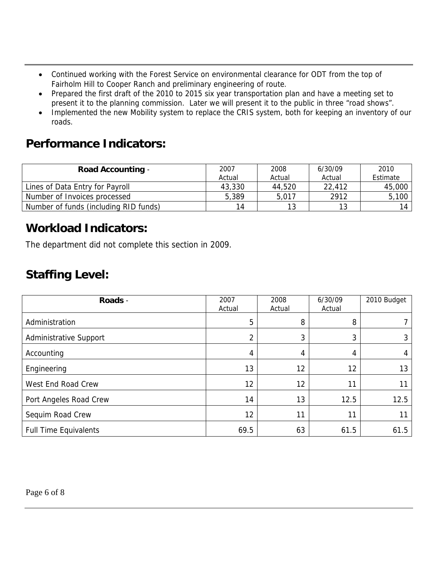- Continued working with the Forest Service on environmental clearance for ODT from the top of Fairholm Hill to Cooper Ranch and preliminary engineering of route.
- Prepared the first draft of the 2010 to 2015 six year transportation plan and have a meeting set to present it to the planning commission. Later we will present it to the public in three "road shows".
- Implemented the new Mobility system to replace the CRIS system, both for keeping an inventory of our roads.

# **Performance Indicators:**

| <b>Road Accounting -</b>              | 2007   | 2008   | 6/30/09 | 2010     |
|---------------------------------------|--------|--------|---------|----------|
|                                       | Actual | Actual | Actual  | Estimate |
| Lines of Data Entry for Payroll       | 43,330 | 44,520 | 22,412  | 45,000   |
| Number of Invoices processed          | 5,389  | 5,017  | 2912    | 5,100    |
| Number of funds (including RID funds) | 14     | 12     | 13      | 14       |

# **Workload Indicators:**

The department did not complete this section in 2009.

# **Staffing Level:**

| Roads -                       | 2007<br>Actual | 2008<br>Actual | 6/30/09<br>Actual | 2010 Budget |
|-------------------------------|----------------|----------------|-------------------|-------------|
| Administration                | 5              | 8              | 8                 |             |
| <b>Administrative Support</b> | C              | 3              | 3                 |             |
| Accounting                    | 4              | 4              | 4                 |             |
| Engineering                   | 13             | 12             | 12                | 13          |
| West End Road Crew            | 12             | 12             | 11                |             |
| Port Angeles Road Crew        | 14             | 13             | 12.5              | 12.5        |
| Sequim Road Crew              | 12             | 11             | 11                | 11          |
| <b>Full Time Equivalents</b>  | 69.5           | 63             | 61.5              | 61.5        |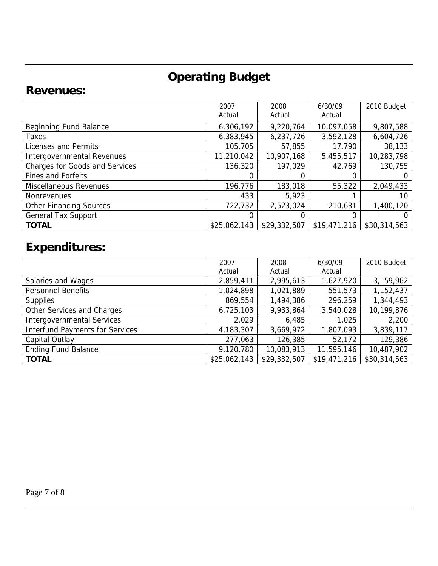# **Operating Budget**

### **Revenues:**

|                                       | 2007<br>Actual | 2008<br>Actual | 6/30/09<br>Actual | 2010 Budget  |
|---------------------------------------|----------------|----------------|-------------------|--------------|
| Beginning Fund Balance                | 6,306,192      | 9,220,764      | 10,097,058        | 9,807,588    |
| Taxes                                 | 6,383,945      | 6,237,726      | 3,592,128         | 6,604,726    |
| Licenses and Permits                  | 105,705        | 57,855         | 17,790            | 38,133       |
| Intergovernmental Revenues            | 11,210,042     | 10,907,168     | 5,455,517         | 10,283,798   |
| <b>Charges for Goods and Services</b> | 136,320        | 197,029        | 42,769            | 130,755      |
| Fines and Forfeits                    |                |                |                   |              |
| <b>Miscellaneous Revenues</b>         | 196,776        | 183,018        | 55,322            | 2,049,433    |
| <b>Nonrevenues</b>                    | 433            | 5,923          |                   | 10           |
| <b>Other Financing Sources</b>        | 722,732        | 2,523,024      | 210,631           | 1,400,120    |
| <b>General Tax Support</b>            |                |                |                   |              |
| <b>TOTAL</b>                          | \$25,062,143   | \$29,332,507   | \$19,471,216      | \$30,314,563 |

# **Expenditures:**

|                                        | 2007         | 2008         | 6/30/09      | 2010 Budget  |
|----------------------------------------|--------------|--------------|--------------|--------------|
|                                        | Actual       | Actual       | Actual       |              |
| Salaries and Wages                     | 2,859,411    | 2,995,613    | 1,627,920    | 3,159,962    |
| <b>Personnel Benefits</b>              | 1,024,898    | 1,021,889    | 551,573      | 1,152,437    |
| <b>Supplies</b>                        | 869,554      | 1,494,386    | 296,259      | 1,344,493    |
| Other Services and Charges             | 6,725,103    | 9,933,864    | 3,540,028    | 10,199,876   |
| <b>Intergovernmental Services</b>      | 2,029        | 6,485        | 1,025        | 2,200        |
| <b>Interfund Payments for Services</b> | 4,183,307    | 3,669,972    | 1,807,093    | 3,839,117    |
| Capital Outlay                         | 277,063      | 126,385      | 52,172       | 129,386      |
| <b>Ending Fund Balance</b>             | 9,120,780    | 10,083,913   | 11,595,146   | 10,487,902   |
| <b>TOTAL</b>                           | \$25,062,143 | \$29,332,507 | \$19,471,216 | \$30,314,563 |